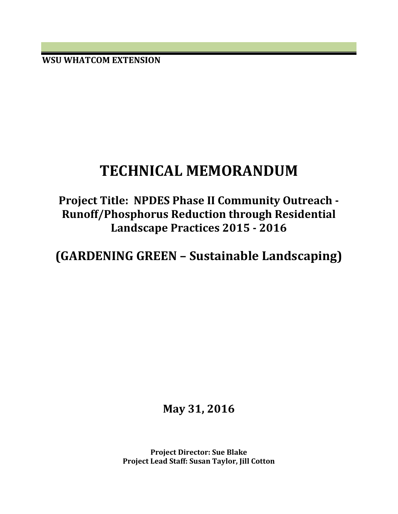**WSU WHATCOM EXTENSION**

# **TECHNICAL MEMORANDUM**

**Project Title: NPDES Phase II Community Outreach - Runoff/Phosphorus Reduction through Residential Landscape Practices 2015 - 2016**

**(GARDENING GREEN – Sustainable Landscaping)**

**May 31, 2016**

**Project Director: Sue Blake Project Lead Staff: Susan Taylor, Jill Cotton**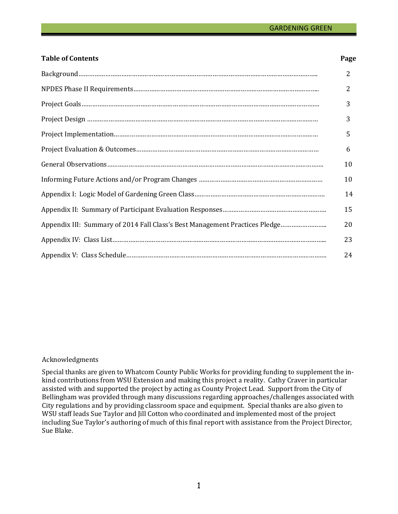#### **Table of Contents**

| ${\bf Background.}.\hspace*{25pt}.\hspace*{25pt}.\hspace*{25pt} \textbf{Background}.\hspace*{25pt}.\hspace*{25pt}.\hspace*{25pt}.\hspace*{25pt} \textbf{backward.}.\hspace*{25pt}.\hspace*{25pt}$ | 2              |
|---------------------------------------------------------------------------------------------------------------------------------------------------------------------------------------------------|----------------|
|                                                                                                                                                                                                   | $\overline{2}$ |
|                                                                                                                                                                                                   | 3              |
|                                                                                                                                                                                                   | 3              |
|                                                                                                                                                                                                   | 5              |
|                                                                                                                                                                                                   | 6              |
|                                                                                                                                                                                                   | 10             |
|                                                                                                                                                                                                   | 10             |
|                                                                                                                                                                                                   | 14             |
|                                                                                                                                                                                                   | 15             |
|                                                                                                                                                                                                   | 20             |
|                                                                                                                                                                                                   | 23             |
|                                                                                                                                                                                                   | 24             |

#### Acknowledgments

Special thanks are given to Whatcom County Public Works for providing funding to supplement the inkind contributions from WSU Extension and making this project a reality. Cathy Craver in particular assisted with and supported the project by acting as County Project Lead. Support from the City of Bellingham was provided through many discussions regarding approaches/challenges associated with City regulations and by providing classroom space and equipment. Special thanks are also given to WSU staff leads Sue Taylor and Jill Cotton who coordinated and implemented most of the project including Sue Taylor's authoring of much of this final report with assistance from the Project Director, Sue Blake.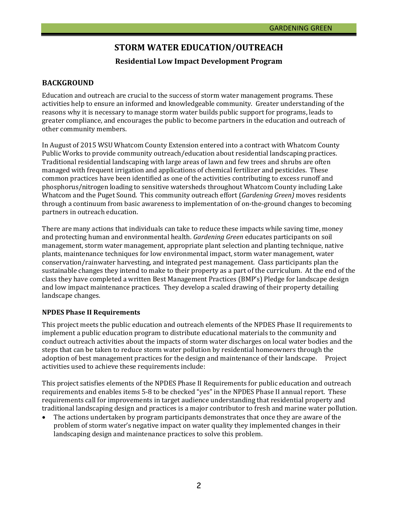# **STORM WATER EDUCATION/OUTREACH**

# **Residential Low Impact Development Program**

# **BACKGROUND**

Education and outreach are crucial to the success of storm water management programs. These activities help to ensure an informed and knowledgeable community. Greater understanding of the reasons why it is necessary to manage storm water builds public support for programs, leads to greater compliance, and encourages the public to become partners in the education and outreach of other community members.

In August of 2015 WSU Whatcom County Extension entered into a contract with Whatcom County Public Works to provide community outreach/education about residential landscaping practices. Traditional residential landscaping with large areas of lawn and few trees and shrubs are often managed with frequent irrigation and applications of chemical fertilizer and pesticides. These common practices have been identified as one of the activities contributing to excess runoff and phosphorus/nitrogen loading to sensitive watersheds throughout Whatcom County including Lake Whatcom and the Puget Sound. This community outreach effort (*Gardening Green)* moves residents through a continuum from basic awareness to implementation of on-the-ground changes to becoming partners in outreach education.

There are many actions that individuals can take to reduce these impacts while saving time, money and protecting human and environmental health. *Gardening Green* educates participants on soil management, storm water management, appropriate plant selection and planting technique, native plants, maintenance techniques for low environmental impact, storm water management, water conservation/rainwater harvesting, and integrated pest management. Class participants plan the sustainable changes they intend to make to their property as a part of the curriculum. At the end of the class they have completed a written Best Management Practices (BMP's) Pledge for landscape design and low impact maintenance practices. They develop a scaled drawing of their property detailing landscape changes.

#### **NPDES Phase II Requirements**

This project meets the public education and outreach elements of the NPDES Phase II requirements to implement a public education program to distribute educational materials to the community and conduct outreach activities about the impacts of storm water discharges on local water bodies and the steps that can be taken to reduce storm water pollution by residential homeowners through the adoption of best management practices for the design and maintenance of their landscape. Project activities used to achieve these requirements include:

This project satisfies elements of the NPDES Phase II Requirements for public education and outreach requirements and enables items 5-8 to be checked "yes" in the NPDES Phase II annual report. These requirements call for improvements in target audience understanding that residential property and traditional landscaping design and practices is a major contributor to fresh and marine water pollution.

The actions undertaken by program participants demonstrates that once they are aware of the problem of storm water's negative impact on water quality they implemented changes in their landscaping design and maintenance practices to solve this problem.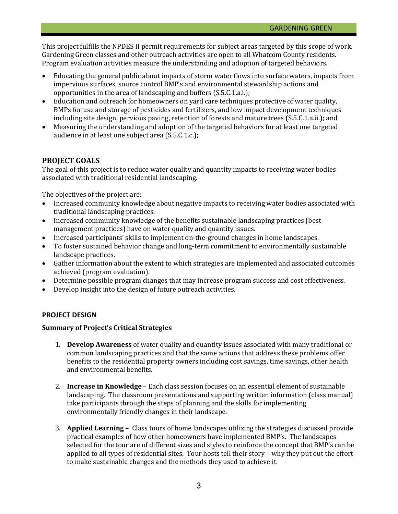This project fulfills the NPDES II permit requirements for subject areas targeted by this scope of work. Gardening Green classes and other outreach activities are open to all Whatcom County residents. Program evaluation activities measure the understanding and adoption of targeted behaviors.

- Educating the general public about impacts of storm water flows into surface waters, impacts from impervious surfaces, source control BMP's and environmental stewardship actions and opportunities in the area of landscaping and buffers (S.5.C.1.a.i.);
- Education and outreach for homeowners on yard care techniques protective of water quality, BMPs for use and storage of pesticides and fertilizers, and low impact development techniques including site design, pervious paving, retention of forests and mature trees (S.5.C.1.a.ii.); and
- Measuring the understanding and adoption of the targeted behaviors for at least one targeted audience in at least one subject area (S.5.C.1.c.);

# **PROJECT GOALS**

The goal of this project is to reduce water quality and quantity impacts to receiving water bodies associated with traditional residential landscaping.

The objectives of the project are:

- Increased community knowledge about negative impacts to receiving water bodies associated with traditional landscaping practices.
- Increased community knowledge of the benefits sustainable landscaping practices (best management practices) have on water quality and quantity issues.
- Increased participants' skills to implement on-the-ground changes in home landscapes.
- To foster sustained behavior change and long-term commitment to environmentally sustainable landscape practices.
- Gather information about the extent to which strategies are implemented and associated outcomes achieved (program evaluation).
- Determine possible program changes that may increase program success and cost effectiveness.
- Develop insight into the design of future outreach activities.

### **PROJECT DESIGN**

#### **Summary of Project's Critical Strategies**

- 1. **Develop Awareness** of water quality and quantity issues associated with many traditional or common landscaping practices and that the same actions that address these problems offer benefits to the residential property owners including cost savings, time savings, other health and environmental benefits.
- 2. **Increase in Knowledge** Each class session focuses on an essential element of sustainable landscaping. The classroom presentations and supporting written information (class manual) take participants through the steps of planning and the skills for implementing environmentally friendly changes in their landscape.
- 3. **Applied Learning** Class tours of home landscapes utilizing the strategies discussed provide practical examples of how other homeowners have implemented BMP's. The landscapes selected for the tour are of different sizes and styles to reinforce the concept that BMP's can be applied to all types of residential sites. Tour hosts tell their story – why they put out the effort to make sustainable changes and the methods they used to achieve it.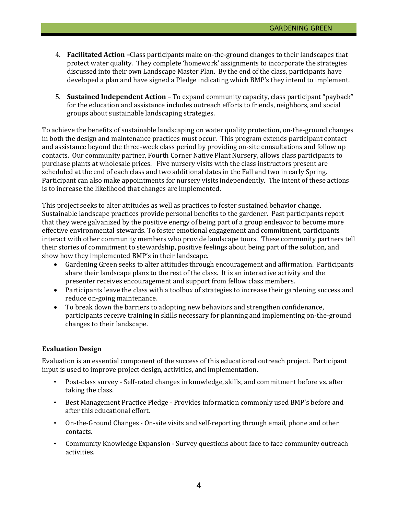- 4. **Facilitated Action –**Class participants make on-the-ground changes to their landscapes that protect water quality. They complete 'homework' assignments to incorporate the strategies discussed into their own Landscape Master Plan. By the end of the class, participants have developed a plan and have signed a Pledge indicating which BMP's they intend to implement.
- 5. **Sustained Independent Action** To expand community capacity, class participant "payback" for the education and assistance includes outreach efforts to friends, neighbors, and social groups about sustainable landscaping strategies.

To achieve the benefits of sustainable landscaping on water quality protection, on-the-ground changes in both the design and maintenance practices must occur. This program extends participant contact and assistance beyond the three-week class period by providing on-site consultations and follow up contacts. Our community partner, Fourth Corner Native Plant Nursery, allows class participants to purchase plants at wholesale prices. Five nursery visits with the class instructors present are scheduled at the end of each class and two additional dates in the Fall and two in early Spring. Participant can also make appointments for nursery visits independently. The intent of these actions is to increase the likelihood that changes are implemented.

This project seeks to alter attitudes as well as practices to foster sustained behavior change. Sustainable landscape practices provide personal benefits to the gardener. Past participants report that they were galvanized by the positive energy of being part of a group endeavor to become more effective environmental stewards. To foster emotional engagement and commitment, participants interact with other community members who provide landscape tours. These community partners tell their stories of commitment to stewardship, positive feelings about being part of the solution, and show how they implemented BMP's in their landscape.<br>• Gardening Green seeks to alter attitudes throught

- Gardening Green seeks to alter attitudes through encouragement and affirmation. Participants share their landscape plans to the rest of the class. It is an interactive activity and the presenter receives encouragement and support from fellow class members.
- Participants leave the class with a toolbox of strategies to increase their gardening success and reduce on-going maintenance.
- To break down the barriers to adopting new behaviors and strengthen confidenance, participants receive training in skills necessary for planning and implementing on-the-ground changes to their landscape.

#### **Evaluation Design**

Evaluation is an essential component of the success of this educational outreach project. Participant input is used to improve project design, activities, and implementation.

- Post-class survey Self-rated changes in knowledge, skills, and commitment before vs. after taking the class.
- Best Management Practice Pledge Provides information commonly used BMP's before and after this educational effort.
- On-the-Ground Changes On-site visits and self-reporting through email, phone and other contacts.
- Community Knowledge Expansion Survey questions about face to face community outreach activities.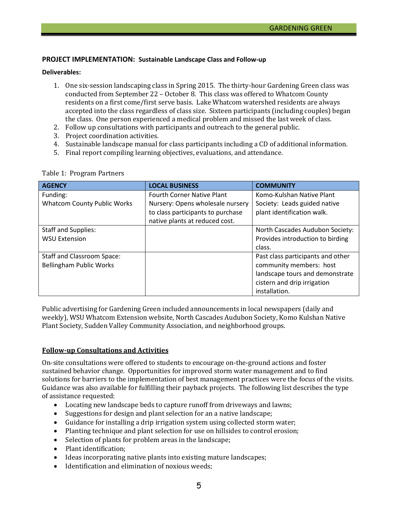#### **PROJECT IMPLEMENTATION: Sustainable Landscape Class and Follow-up**

#### **Deliverables:**

- 1. One six-session landscaping class in Spring 2015. The thirty-hour Gardening Green class was conducted from September 22 – October 8. This class was offered to Whatcom County residents on a first come/first serve basis. Lake Whatcom watershed residents are always accepted into the class regardless of class size. Sixteen participants (including couples) began the class. One person experienced a medical problem and missed the last week of class.
- 2. Follow up consultations with participants and outreach to the general public.
- 3. Project coordination activities.
- 4. Sustainable landscape manual for class participants including a CD of additional information.
- 5. Final report compiling learning objectives, evaluations, and attendance.

| <b>AGENCY</b>                      | <b>LOCAL BUSINESS</b>             | <b>COMMUNITY</b>                  |
|------------------------------------|-----------------------------------|-----------------------------------|
| Funding:                           | <b>Fourth Corner Native Plant</b> | Komo-Kulshan Native Plant         |
| <b>Whatcom County Public Works</b> | Nursery: Opens wholesale nursery  | Society: Leads guided native      |
|                                    | to class participants to purchase | plant identification walk.        |
|                                    | native plants at reduced cost.    |                                   |
| <b>Staff and Supplies:</b>         |                                   | North Cascades Audubon Society:   |
| <b>WSU Extension</b>               |                                   | Provides introduction to birding  |
|                                    |                                   | class.                            |
| Staff and Classroom Space:         |                                   | Past class participants and other |
| <b>Bellingham Public Works</b>     |                                   | community members: host           |
|                                    |                                   | landscape tours and demonstrate   |
|                                    |                                   | cistern and drip irrigation       |
|                                    |                                   | installation.                     |

#### Table 1: Program Partners

Public advertising for Gardening Green included announcements in local newspapers (daily and weekly), WSU Whatcom Extension website, North Cascades Audubon Society, Komo Kulshan Native Plant Society, Sudden Valley Community Association, and neighborhood groups.

#### **Follow-up Consultations and Activities**

On-site consultations were offered to students to encourage on-the-ground actions and foster sustained behavior change. Opportunities for improved storm water management and to find solutions for barriers to the implementation of best management practices were the focus of the visits. Guidance was also available for fulfilling their payback projects. The following list describes the type of assistance requested:

- Locating new landscape beds to capture runoff from driveways and lawns;
- Suggestions for design and plant selection for an a native landscape;
- Guidance for installing a drip irrigation system using collected storm water;
- Planting technique and plant selection for use on hillsides to control erosion;
- Selection of plants for problem areas in the landscape;
- Plant identification;
- Ideas incorporating native plants into existing mature landscapes;
- Identification and elimination of noxious weeds;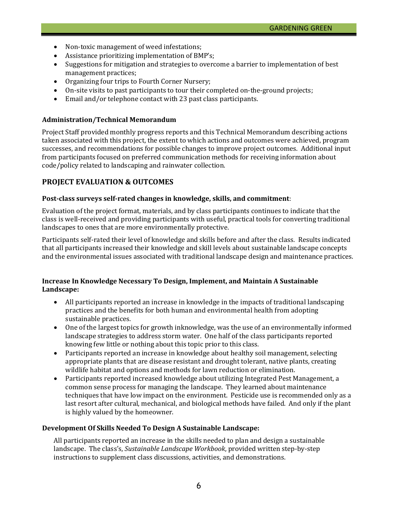- Non-toxic management of weed infestations;
- Assistance prioritizing implementation of BMP's;
- Suggestions for mitigation and strategies to overcome a barrier to implementation of best management practices;
- Organizing four trips to Fourth Corner Nursery;
- On-site visits to past participants to tour their completed on-the-ground projects;
- Email and/or telephone contact with 23 past class participants.

#### **Administration/Technical Memorandum**

Project Staff provided monthly progress reports and this Technical Memorandum describing actions taken associated with this project, the extent to which actions and outcomes were achieved, program successes, and recommendations for possible changes to improve project outcomes. Additional input from participants focused on preferred communication methods for receiving information about code/policy related to landscaping and rainwater collection.

### **PROJECT EVALUATION & OUTCOMES**

#### **Post-class surveys self-rated changes in knowledge, skills, and commitment**:

Evaluation of the project format, materials, and by class participants continues to indicate that the class is well-received and providing participants with useful, practical tools for converting traditional landscapes to ones that are more environmentally protective.

Participants self-rated their level of knowledge and skills before and after the class. Results indicated that all participants increased their knowledge and skill levels about sustainable landscape concepts and the environmental issues associated with traditional landscape design and maintenance practices.

#### **Increase In Knowledge Necessary To Design, Implement, and Maintain A Sustainable Landscape:**

- All participants reported an increase in knowledge in the impacts of traditional landscaping practices and the benefits for both human and environmental health from adopting sustainable practices.
- One of the largest topics for growth inknowledge, was the use of an environmentally informed landscape strategies to address storm water. One half of the class participants reported knowing few little or nothing about this topic prior to this class.
- Participants reported an increase in knowledge about healthy soil management, selecting appropriate plants that are disease resistant and drought tolerant, native plants, creating wildlife habitat and options and methods for lawn reduction or elimination.
- Participants reported increased knowledge about utilizing Integrated Pest Management, a common sense process for managing the landscape. They learned about maintenance techniques that have low impact on the environment. Pesticide use is recommended only as a last resort after cultural, mechanical, and biological methods have failed. And only if the plant is highly valued by the homeowner.

#### **Development Of Skills Needed To Design A Sustainable Landscape:**

All participants reported an increase in the skills needed to plan and design a sustainable landscape. The class's, *Sustainable Landscape Workbook*, provided written step-by-step instructions to supplement class discussions, activities, and demonstrations.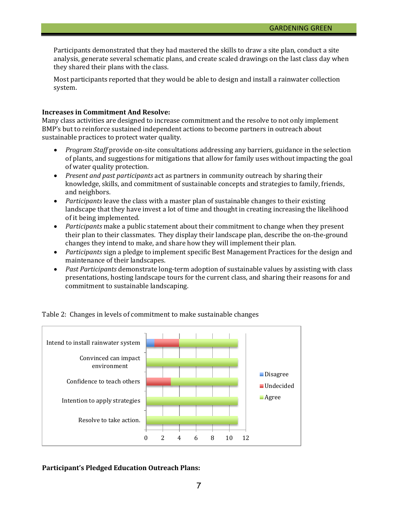Participants demonstrated that they had mastered the skills to draw a site plan, conduct a site analysis, generate several schematic plans, and create scaled drawings on the last class day when they shared their plans with the class.

Most participants reported that they would be able to design and install a rainwater collection system.

#### **Increases in Commitment And Resolve:**

Many class activities are designed to increase commitment and the resolve to not only implement BMP's but to reinforce sustained independent actions to become partners in outreach about sustainable practices to protect water quality.

- *Program Staff* provide on-site consultations addressing any barriers, guidance in the selection of plants, and suggestions for mitigations that allow for family uses without impacting the goal of water quality protection.
- *Present and past participants* act as partners in community outreach by sharing their knowledge, skills, and commitment of sustainable concepts and strategies to family, friends, and neighbors.
- *Participants* leave the class with a master plan of sustainable changes to their existing landscape that they have invest a lot of time and thought in creating increasing the likelihood of it being implemented.
- *Participants* make a public statement about their commitment to change when they present their plan to their classmates. They display their landscape plan, describe the on-the-ground changes they intend to make, and share how they will implement their plan.
- *Participants* sign a pledge to implement specific Best Management Practices for the design and maintenance of their landscapes.
- *Past Participants* demonstrate long-term adoption of sustainable values by assisting with class presentations, hosting landscape tours for the current class, and sharing their reasons for and commitment to sustainable landscaping.



Table 2: Changes in levels of commitment to make sustainable changes

#### **Participant's Pledged Education Outreach Plans:**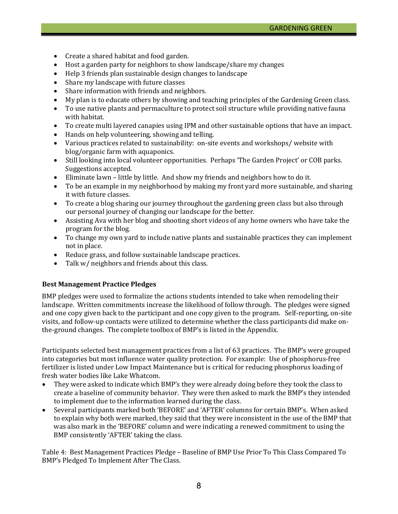- Create a shared habitat and food garden.
- Host a garden party for neighbors to show landscape/share my changes
- Help 3 friends plan sustainable design changes to landscape
- Share my landscape with future classes
- Share information with friends and neighbors.
- My plan is to educate others by showing and teaching principles of the Gardening Green class.
- To use native plants and permaculture to protect soil structure while providing native fauna with habitat.
- To create multi layered canapies using IPM and other sustainable options that have an impact.
- Hands on help volunteering, showing and telling.
- Various practices related to sustainability: on-site events and workshops/ website with blog/organic farm with aquaponics.
- Still looking into local volunteer opportunities. Perhaps 'The Garden Project' or COB parks. Suggestions accepted.
- Eliminate lawn little by little. And show my friends and neighbors how to do it.
- To be an example in my neighborhood by making my front yard more sustainable, and sharing it with future classes.
- To create a blog sharing our journey throughout the gardening green class but also through our personal journey of changing our landscape for the better.
- Assisting Ava with her blog and shooting short videos of any home owners who have take the program for the blog.
- To change my own yard to include native plants and sustainable practices they can implement not in place.
- Reduce grass, and follow sustainable landscape practices.
- Talk w/ neighbors and friends about this class.

#### **Best Management Practice Pledges**

BMP pledges were used to formalize the actions students intended to take when remodeling their landscape. Written commitments increase the likelihood of follow through. The pledges were signed and one copy given back to the participant and one copy given to the program. Self-reporting, on-site visits, and follow-up contacts were utilized to determine whether the class participants did make onthe-ground changes. The complete toolbox of BMP's is listed in the Appendix.

Participants selected best management practices from a list of 63 practices. The BMP's were grouped into categories but most influence water quality protection. For example: Use of phosphorus-free fertilizer is listed under Low Impact Maintenance but is critical for reducing phosphorus loading of fresh water bodies like Lake Whatcom.<br>• They were asked to indicate which

- They were asked to indicate which BMP's they were already doing before they took the class to create a baseline of community behavior. They were then asked to mark the BMP's they intended to implement due to the information learned during the class.
- Several participants marked both 'BEFORE' and 'AFTER' columns for certain BMP's. When asked to explain why both were marked, they said that they were inconsistent in the use of the BMP that was also mark in the 'BEFORE' column and were indicating a renewed commitment to using the BMP consistently 'AFTER' taking the class.

Table 4: Best Management Practices Pledge – Baseline of BMP Use Prior To This Class Compared To BMP's Pledged To Implement After The Class.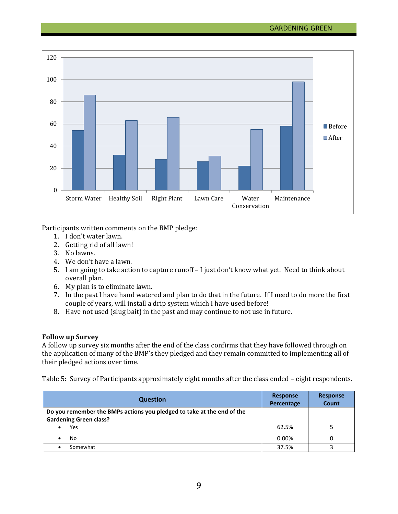

Participants written comments on the BMP pledge:

- 1. I don't water lawn.
- 2. Getting rid of all lawn!
- 3. No lawns.
- 4. We don't have a lawn.
- 5. I am going to take action to capture runoff I just don't know what yet. Need to think about overall plan.
- 6. My plan is to eliminate lawn.
- 7. In the past I have hand watered and plan to do that in the future. If I need to do more the first couple of years, will install a drip system which I have used before!
- 8. Have not used (slug bait) in the past and may continue to not use in future.

#### **Follow up Survey**

A follow up survey six months after the end of the class confirms that they have followed through on the application of many of the BMP's they pledged and they remain committed to implementing all of their pledged actions over time.

Table 5: Survey of Participants approximately eight months after the class ended – eight respondents.

| <b>Question</b>                                                                                                       | Response<br>Percentage | <b>Response</b><br>Count |
|-----------------------------------------------------------------------------------------------------------------------|------------------------|--------------------------|
| Do you remember the BMPs actions you pledged to take at the end of the<br><b>Gardening Green class?</b><br><b>Yes</b> | 62.5%                  |                          |
|                                                                                                                       |                        |                          |
| No                                                                                                                    | 0.00%                  |                          |
| Somewhat                                                                                                              | 37.5%                  |                          |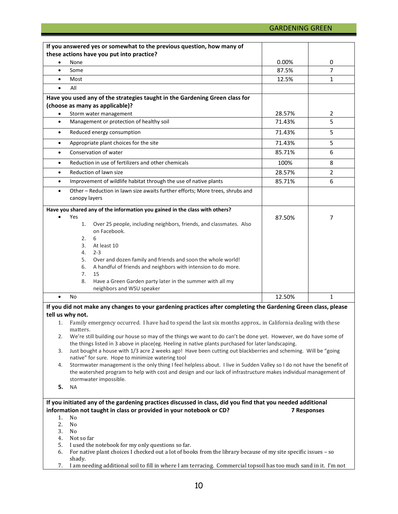|           | If you answered yes or somewhat to the previous question, how many of                                                                                                      |        |                    |
|-----------|----------------------------------------------------------------------------------------------------------------------------------------------------------------------------|--------|--------------------|
|           | these actions have you put into practice?                                                                                                                                  |        |                    |
| $\bullet$ | None                                                                                                                                                                       | 0.00%  | 0                  |
| $\bullet$ | Some                                                                                                                                                                       | 87.5%  | 7                  |
| $\bullet$ | Most                                                                                                                                                                       | 12.5%  | $\mathbf{1}$       |
| $\bullet$ | All                                                                                                                                                                        |        |                    |
|           | Have you used any of the strategies taught in the Gardening Green class for                                                                                                |        |                    |
|           | (choose as many as applicable)?                                                                                                                                            |        |                    |
| $\bullet$ | Storm water management                                                                                                                                                     | 28.57% | 2                  |
| $\bullet$ | Management or protection of healthy soil                                                                                                                                   | 71.43% | 5                  |
| $\bullet$ | Reduced energy consumption                                                                                                                                                 | 71.43% | 5                  |
| $\bullet$ | Appropriate plant choices for the site                                                                                                                                     | 71.43% | 5                  |
| $\bullet$ | Conservation of water                                                                                                                                                      | 85.71% | 6                  |
| $\bullet$ | Reduction in use of fertilizers and other chemicals                                                                                                                        | 100%   | 8                  |
| $\bullet$ | Reduction of lawn size                                                                                                                                                     | 28.57% | $\overline{2}$     |
| $\bullet$ | Improvement of wildlife habitat through the use of native plants                                                                                                           | 85.71% | 6                  |
| $\bullet$ | Other - Reduction in lawn size awaits further efforts; More trees, shrubs and<br>canopy layers                                                                             |        |                    |
|           | Have you shared any of the information you gained in the class with others?<br>Yes                                                                                         |        |                    |
|           | Over 25 people, including neighbors, friends, and classmates. Also<br>1.<br>on Facebook.<br>2.<br>6                                                                        | 87.50% | 7                  |
|           | 3.<br>At least 10<br>4.<br>$2 - 3$                                                                                                                                         |        |                    |
|           | Over and dozen family and friends and soon the whole world!<br>5.<br>A handful of friends and neighbors with intension to do more.<br>6.<br>7.<br>15                       |        |                    |
|           | Have a Green Garden party later in the summer with all my<br>8.<br>neighbors and WSU speaker                                                                               |        |                    |
| $\bullet$ | <b>No</b>                                                                                                                                                                  | 12.50% | $\mathbf{1}$       |
|           | If you did not make any changes to your gardening practices after completing the Gardening Green class, please                                                             |        |                    |
|           | tell us why not.                                                                                                                                                           |        |                    |
| 1.        | Family emergency occurred. I have had to spend the last six months approx in California dealing with these<br>matters.                                                     |        |                    |
| 2.        | We're still building our house so may of the things we want to do can't be done yet. However, we do have some of                                                           |        |                    |
|           | the things listed in 3 above in place(eg. Heeling in native plants purchased for later landscaping.                                                                        |        |                    |
| 3.        | Just bought a house with 1/3 acre 2 weeks ago! Have been cutting out blackberries and scheming. Will be "going                                                             |        |                    |
| 4.        | native" for sure. Hope to minimize watering tool<br>Stormwater management is the only thing I feel helpless about. I live in Sudden Valley so I do not have the benefit of |        |                    |
|           | the watershed program to help with cost and design and our lack of infrastructure makes individual management of<br>stormwater impossible.                                 |        |                    |
| 5.        | <b>NA</b>                                                                                                                                                                  |        |                    |
|           | If you initiated any of the gardening practices discussed in class, did you find that you needed additional                                                                |        |                    |
|           | information not taught in class or provided in your notebook or CD?                                                                                                        |        | <b>7 Responses</b> |
| 1.        | No                                                                                                                                                                         |        |                    |
| 2.        | No                                                                                                                                                                         |        |                    |
| 3.        | No                                                                                                                                                                         |        |                    |
| 4.        | Not so far                                                                                                                                                                 |        |                    |
| 5.        | I used the notebook for my only questions so far.                                                                                                                          |        |                    |
| 6.        | For native plant choices I checked out a lot of books from the library because of my site specific issues - so                                                             |        |                    |
|           | shady.                                                                                                                                                                     |        |                    |
| 7.        | I am needing additional soil to fill in where I am terracing. Commercial topsoil has too much sand in it. I'm not                                                          |        |                    |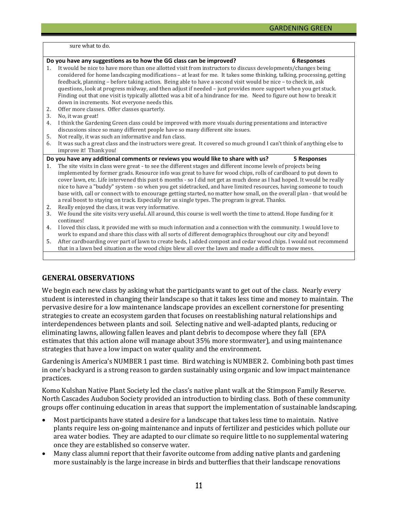sure what to do.

|                     | Do you have any suggestions as to how the GG class can be improved?<br><b>6 Responses</b>                                                                                                                                                                                                                                                                                                                                                                                                                                                                                                                                                                                                                                                                          |
|---------------------|--------------------------------------------------------------------------------------------------------------------------------------------------------------------------------------------------------------------------------------------------------------------------------------------------------------------------------------------------------------------------------------------------------------------------------------------------------------------------------------------------------------------------------------------------------------------------------------------------------------------------------------------------------------------------------------------------------------------------------------------------------------------|
| $1_{-}$<br>2.<br>3. | It would be nice to have more than one allotted visit from instructors to discuss developments/changes being<br>considered for home landscaping modifications - at least for me. It takes some thinking, talking, processing, getting<br>feedback, planning - before taking action. Being able to have a second visit would be nice - to check in, ask<br>questions, look at progress midway, and then adjust if needed - just provides more support when you get stuck.<br>Finding out that one visit is typically allotted was a bit of a hindrance for me. Need to figure out how to break it<br>down in increments. Not everyone needs this.<br>Offer more classes. Offer classes quarterly.<br>No, it was great!                                              |
| 4.                  | I think the Gardening Green class could be improved with more visuals during presentations and interactive<br>discussions since so many different people have so many different site issues.                                                                                                                                                                                                                                                                                                                                                                                                                                                                                                                                                                       |
| 5.                  | Not really, it was such an informative and fun class.                                                                                                                                                                                                                                                                                                                                                                                                                                                                                                                                                                                                                                                                                                              |
| 6.                  | It was such a great class and the instructors were great. It covered so much ground I can't think of anything else to<br>improve it! Thank you!                                                                                                                                                                                                                                                                                                                                                                                                                                                                                                                                                                                                                    |
|                     | Do you have any additional comments or reviews you would like to share with us?<br>5 Responses                                                                                                                                                                                                                                                                                                                                                                                                                                                                                                                                                                                                                                                                     |
| 1.<br>2.            | The site visits in class were great - to see the different stages and different income levels of projects being<br>implemented by former grads. Resource info was great to have for wood chips, rolls of cardboard to put down to<br>cover lawn, etc. Life intervened this past 6 months - so I did not get as much done as I had hoped. It would be really<br>nice to have a "buddy" system - so when you get sidetracked, and have limited resources, having someone to touch<br>base with, call or connect with to encourage getting started, no matter how small, on the overall plan - that would be<br>a real boost to staying on track. Especially for us single types. The program is great. Thanks.<br>Really enjoyed the class, it was very informative. |
| 3.                  | We found the site visits very useful. All around, this course is well worth the time to attend. Hope funding for it<br>continues!                                                                                                                                                                                                                                                                                                                                                                                                                                                                                                                                                                                                                                  |
| 4.                  | I loved this class, it provided me with so much information and a connection with the community. I would love to<br>work to expand and share this class with all sorts of different demographics throughout our city and beyond!                                                                                                                                                                                                                                                                                                                                                                                                                                                                                                                                   |
| 5.                  | After cardboarding over part of lawn to create beds, I added compost and cedar wood chips. I would not recommend<br>that in a lawn bed situation as the wood chips blew all over the lawn and made a difficult to mow mess.                                                                                                                                                                                                                                                                                                                                                                                                                                                                                                                                        |
|                     |                                                                                                                                                                                                                                                                                                                                                                                                                                                                                                                                                                                                                                                                                                                                                                    |

### **GENERAL OBSERVATIONS**

We begin each new class by asking what the participants want to get out of the class. Nearly every student is interested in changing their landscape so that it takes less time and money to maintain. The pervasive desire for a low maintenance landscape provides an excellent cornerstone for presenting strategies to create an ecosystem garden that focuses on reestablishing natural relationships and interdependences between plants and soil. Selecting native and well-adapted plants, reducing or eliminating lawns, allowing fallen leaves and plant debris to decompose where they fall (EPA estimates that this action alone will manage about 35% more stormwater), and using maintenance strategies that have a low impact on water quality and the environment.

Gardening is America's NUMBER 1 past time. Bird watching is NUMBER 2. Combining both past times in one's backyard is a strong reason to garden sustainably using organic and low impact maintenance practices.

Komo Kulshan Native Plant Society led the class's native plant walk at the Stimpson Family Reserve. North Cascades Audubon Society provided an introduction to birding class. Both of these community groups offer continuing education in areas that support the implementation of sustainable landscaping.

- Most participants have stated a desire for a landscape that takes less time to maintain. Native plants require less on-going maintenance and inputs of fertilizer and pesticides which pollute our area water bodies. They are adapted to our climate so require little to no supplemental watering once they are established so conserve water.
- Many class alumni report that their favorite outcome from adding native plants and gardening more sustainably is the large increase in birds and butterflies that their landscape renovations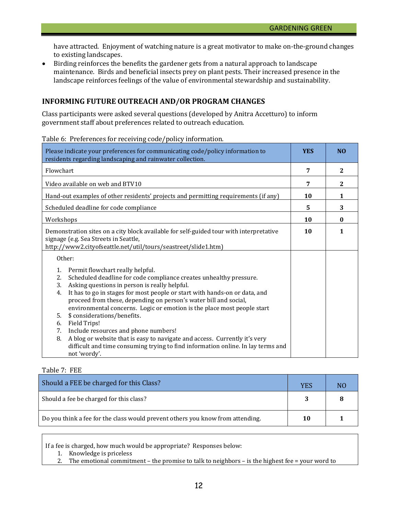have attracted. Enjoyment of watching nature is a great motivator to make on-the-ground changes to existing landscapes.

• Birding reinforces the benefits the gardener gets from a natural approach to landscape maintenance. Birds and beneficial insects prey on plant pests. Their increased presence in the landscape reinforces feelings of the value of environmental stewardship and sustainability.

### **INFORMING FUTURE OUTREACH AND/OR PROGRAM CHANGES**

Class participants were asked several questions (developed by Anitra Accetturo) to inform government staff about preferences related to outreach education.

Table 6: Preferences for receiving code/policy information.

| Please indicate your preferences for communicating code/policy information to<br>residents regarding landscaping and rainwater collection.                                                                                                                                                                                                                                                                                                                                                                                                                                                                                                                                                                              | <b>YES</b> | N <sub>O</sub> |
|-------------------------------------------------------------------------------------------------------------------------------------------------------------------------------------------------------------------------------------------------------------------------------------------------------------------------------------------------------------------------------------------------------------------------------------------------------------------------------------------------------------------------------------------------------------------------------------------------------------------------------------------------------------------------------------------------------------------------|------------|----------------|
| Flowchart                                                                                                                                                                                                                                                                                                                                                                                                                                                                                                                                                                                                                                                                                                               | 7          | $\mathbf{2}$   |
| Video available on web and BTV10                                                                                                                                                                                                                                                                                                                                                                                                                                                                                                                                                                                                                                                                                        | 7          | $\mathbf{2}$   |
| Hand-out examples of other residents' projects and permitting requirements (if any)                                                                                                                                                                                                                                                                                                                                                                                                                                                                                                                                                                                                                                     | 10         | 1              |
| Scheduled deadline for code compliance                                                                                                                                                                                                                                                                                                                                                                                                                                                                                                                                                                                                                                                                                  | 5          | 3              |
| Workshops                                                                                                                                                                                                                                                                                                                                                                                                                                                                                                                                                                                                                                                                                                               | 10         | $\bf{0}$       |
| Demonstration sites on a city block available for self-guided tour with interpretative<br>signage (e.g. Sea Streets in Seattle,<br>http://www2.cityofseattle.net/util/tours/seastreet/slide1.htm)                                                                                                                                                                                                                                                                                                                                                                                                                                                                                                                       | 10         | 1              |
| Other:<br>Permit flowchart really helpful.<br>1.<br>Scheduled deadline for code compliance creates unhealthy pressure.<br>2.<br>Asking questions in person is really helpful.<br>3.<br>It has to go in stages for most people or start with hands-on or data, and<br>4.<br>proceed from these, depending on person's water bill and social,<br>environmental concerns. Logic or emotion is the place most people start<br>\$ considerations/benefits.<br>5.<br>Field Trips!<br>6.<br>Include resources and phone numbers!<br>7.<br>A blog or website that is easy to navigate and access. Currently it's very<br>8.<br>difficult and time consuming trying to find information online. In lay terms and<br>not 'wordy'. |            |                |

#### Table 7: FEE

| Should a FEE be charged for this Class?                                        | YES | N <sub>0</sub> |
|--------------------------------------------------------------------------------|-----|----------------|
| Should a fee be charged for this class?                                        |     |                |
| Do you think a fee for the class would prevent others you know from attending. | 10  |                |

If a fee is charged, how much would be appropriate? Responses below:

- 1. Knowledge is priceless<br>2. The emotional commitr
- 2. The emotional commitment the promise to talk to neighbors is the highest fee = your word to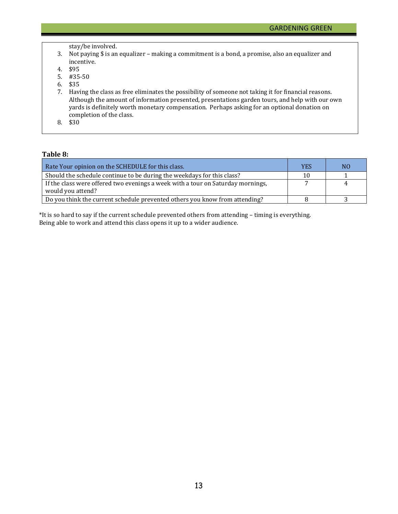stay/be involved.

- 3. Not paying \$ is an equalizer making a commitment is a bond, a promise, also an equalizer and incentive.
- 4. \$95
- 5. #35-50
- 6. \$35
- 7. Having the class as free eliminates the possibility of someone not taking it for financial reasons. Although the amount of information presented, presentations garden tours, and help with our own yards is definitely worth monetary compensation. Perhaps asking for an optional donation on completion of the class.
- 8. \$30

#### **Table 8:**

| Rate Your opinion on the SCHEDULE for this class.                                                    | <b>YES</b> | N <sub>0</sub> |
|------------------------------------------------------------------------------------------------------|------------|----------------|
| Should the schedule continue to be during the weekdays for this class?                               | 10         |                |
| If the class were offered two evenings a week with a tour on Saturday mornings,<br>would you attend? |            | 4              |
| Do you think the current schedule prevented others you know from attending?                          |            |                |

\*It is so hard to say if the current schedule prevented others from attending – timing is everything. Being able to work and attend this class opens it up to a wider audience.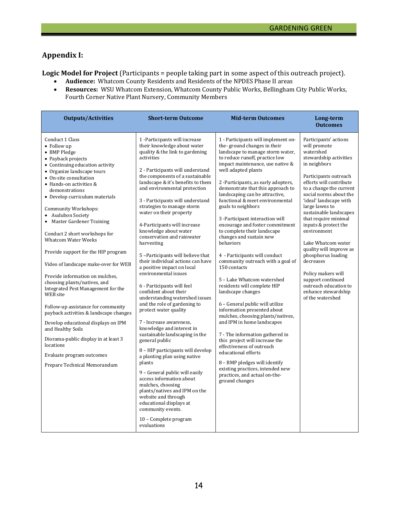# **Appendix I:**

**Logic Model for Project** (Participants = people taking part in some aspect of this outreach project).<br>
• Audience: Whatcom County Residents and Residents of the NPDES Phase II areas

- **Audience:** Whatcom County Residents and Residents of the NPDES Phase II areas<br>• **Resources:** WSU Whatcom Extension, Whatcom County Public Works, Bellingham
- **Resources:** WSU Whatcom Extension, Whatcom County Public Works, Bellingham City Public Works, Fourth Corner Native Plant Nursery, Community Members

| <b>Outputs/Activities</b>                                                                                                                                                                                                                                                                                                                                                                                                                                                                                                                                                                                                                                                                                                                                                                                                                                         | <b>Short-term Outcome</b>                                                                                                                                                                                                                                                                                                                                                                                                                                                                                                                                                                                                                                                                                                                                                                                                                                                                                                                                                                                                                                                                                                                                                  | <b>Mid-term Outcomes</b>                                                                                                                                                                                                                                                                                                                                                                                                                                                                                                                                                                                                                                                                                                                                                                                                                                                                                                                                                                                                                                                              | Long-term<br><b>Outcomes</b>                                                                                                                                                                                                                                                                                                                                                                                                                                                                                                                  |
|-------------------------------------------------------------------------------------------------------------------------------------------------------------------------------------------------------------------------------------------------------------------------------------------------------------------------------------------------------------------------------------------------------------------------------------------------------------------------------------------------------------------------------------------------------------------------------------------------------------------------------------------------------------------------------------------------------------------------------------------------------------------------------------------------------------------------------------------------------------------|----------------------------------------------------------------------------------------------------------------------------------------------------------------------------------------------------------------------------------------------------------------------------------------------------------------------------------------------------------------------------------------------------------------------------------------------------------------------------------------------------------------------------------------------------------------------------------------------------------------------------------------------------------------------------------------------------------------------------------------------------------------------------------------------------------------------------------------------------------------------------------------------------------------------------------------------------------------------------------------------------------------------------------------------------------------------------------------------------------------------------------------------------------------------------|---------------------------------------------------------------------------------------------------------------------------------------------------------------------------------------------------------------------------------------------------------------------------------------------------------------------------------------------------------------------------------------------------------------------------------------------------------------------------------------------------------------------------------------------------------------------------------------------------------------------------------------------------------------------------------------------------------------------------------------------------------------------------------------------------------------------------------------------------------------------------------------------------------------------------------------------------------------------------------------------------------------------------------------------------------------------------------------|-----------------------------------------------------------------------------------------------------------------------------------------------------------------------------------------------------------------------------------------------------------------------------------------------------------------------------------------------------------------------------------------------------------------------------------------------------------------------------------------------------------------------------------------------|
| Conduct 1 Class<br>• Follow up<br>• BMP Pledge<br>• Payback projects<br>• Continuing education activity<br>• Organize landscape tours<br>• On-site consultation<br>• Hands-on activities &<br>demonstrations<br>• Develop curriculum materials<br><b>Community Workshops:</b><br>• Audubon Society<br>• Master Gardener Training<br>Conduct 2 short workshops for<br><b>Whatcom Water Weeks</b><br>Provide support for the HIP program<br>Video of landscape make-over for WEB<br>Provide information on mulches,<br>choosing plants/natives, and<br>Integrated Pest Management for the<br>WEB site<br>Follow-up assistance for community<br>payback activities & landscape changes<br>Develop educational displays on IPM<br>and Healthy Soils<br>Diorama-public display in at least 3<br>locations<br>Evaluate program outcomes<br>Prepare Technical Memorandum | 1 -Participants will increase<br>their knowledge about water<br>quality & the link to gardening<br>activities<br>2 - Participants will understand<br>the components of a sustainable<br>landscape & it's benefits to them<br>and environmental protection<br>3 - Participants will understand<br>strategies to manage storm<br>water on their property<br>4-Participants will increase<br>knowledge about water<br>conservation and rainwater<br>harvesting<br>5-Participants will believe that<br>their individual actions can have<br>a positive impact on local<br>environmental issues<br>6 - Participants will feel<br>confident about their<br>understanding watershed issues<br>and the role of gardening to<br>protect water quality<br>7 - Increase awareness,<br>knowledge and interest in<br>sustainable landscaping in the<br>general public<br>8 - HIP participants will develop<br>a planting plan using native<br>plants<br>9 - General public will easily<br>access information about<br>mulches, choosing<br>plants/natives and IPM on the<br>website and through<br>educational displays at<br>community events.<br>10 - Complete program<br>evaluations | 1 - Participants will implement on-<br>the-ground changes in their<br>landscape to manage storm water,<br>to reduce runoff, practice low<br>impact maintenance, use native &<br>well adapted plants<br>2 -Participants, as early adopters,<br>demonstrate that this approach to<br>landscaping can be attractive,<br>functional & meet environmental<br>goals to neighbors<br>3 -Participant interaction will<br>encourage and foster commitment<br>to complete their landscape<br>changes and sustain new<br>behaviors<br>4 - Participants will conduct<br>community outreach with a goal of<br>150 contacts<br>5 - Lake Whatcom watershed<br>residents will complete HIP<br>landscape changes<br>6 - General public will utilize<br>information presented about<br>mulches, choosing plants/natives,<br>and IPM in home landscapes<br>7 - The information gathered in<br>this project will increase the<br>effectiveness of outreach<br>educational efforts<br>8 - BMP pledges will identify<br>existing practices, intended new<br>practices, and actual on-the-<br>ground changes | Participants' actions<br>will promote<br>watershed<br>stewardship activities<br>in neighbors<br>Participants outreach<br>efforts will contribute<br>to a change the current<br>social norms about the<br>'ideal' landscape with<br>large lawns to<br>sustainable landscapes<br>that require minimal<br>inputs & protect the<br>environment<br>Lake Whatcom water<br>quality will improve as<br>phosphorus loading<br>decreases<br>Policy makers will<br>support continued<br>outreach education to<br>enhance stewardship<br>of the watershed |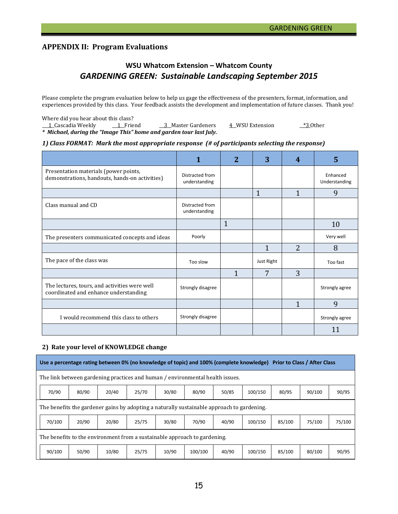# **APPENDIX II: Program Evaluations**

# **WSU Whatcom Extension – Whatcom County** *GARDENING GREEN: Sustainable Landscaping September 2015*

Please complete the program evaluation below to help us gage the effectiveness of the presenters, format, information, and experiences provided by this class. Your feedback assists the development and implementation of future classes. Thank you!

Where did you hear about this class?<br>1 Cascadia Weekly 1 Friend <u>1 Cascadia Weekly 1 Friend 3 Master Gardeners 4 WSU Extension that the same set of the set of the set of the s</u> *\* Michael, during the "Image This" home and garden tour last July.*

#### *1) Class FORMAT: Mark the most appropriate response (# of participants selecting the response)*

|                                                                                         |                                  | 2              | 3          | 4              | 5                         |
|-----------------------------------------------------------------------------------------|----------------------------------|----------------|------------|----------------|---------------------------|
| Presentation materials (power points,<br>demonstrations, handouts, hands-on activities) | Distracted from<br>understanding |                |            |                | Enhanced<br>Understanding |
|                                                                                         |                                  |                | 1          | $\mathbf{1}$   | 9                         |
| Class manual and CD                                                                     | Distracted from<br>understanding |                |            |                |                           |
|                                                                                         |                                  | $\overline{1}$ |            |                | 10                        |
| The presenters communicated concepts and ideas                                          | Poorly                           |                |            |                | Very well                 |
|                                                                                         |                                  |                | 1          | $\overline{2}$ | 8                         |
| The pace of the class was                                                               | Too slow                         |                | Just Right |                | Too fast                  |
|                                                                                         |                                  | 1              | 7          | 3              |                           |
| The lectures, tours, and activities were well<br>coordinated and enhance understanding  | Strongly disagree                |                |            |                | Strongly agree            |
|                                                                                         |                                  |                |            | $\mathbf{1}$   | 9                         |
| I would recommend this class to others                                                  | Strongly disagree                |                |            |                | Strongly agree            |
|                                                                                         |                                  |                |            |                | 11                        |

#### **2) Rate your level of KNOWLEDGE change**

|                                                                           | Use a percentage rating between 0% (no knowledge of topic) and 100% (complete knowledge) Prior to Class / After Class |       |       |       |       |         |       |         |        |        |        |
|---------------------------------------------------------------------------|-----------------------------------------------------------------------------------------------------------------------|-------|-------|-------|-------|---------|-------|---------|--------|--------|--------|
|                                                                           | The link between gardening practices and human / environmental health issues.                                         |       |       |       |       |         |       |         |        |        |        |
|                                                                           | 70/90                                                                                                                 | 80/90 | 20/40 | 25/70 | 30/80 | 80/90   | 50/85 | 100/150 | 80/95  | 90/100 | 90/95  |
|                                                                           | The benefits the gardener gains by adopting a naturally sustainable approach to gardening.                            |       |       |       |       |         |       |         |        |        |        |
|                                                                           | 70/100                                                                                                                | 20/90 | 20/80 | 25/75 | 30/80 | 70/90   | 40/90 | 100/150 | 85/100 | 75/100 | 75/100 |
| The benefits to the environment from a sustainable approach to gardening. |                                                                                                                       |       |       |       |       |         |       |         |        |        |        |
|                                                                           | 90/100                                                                                                                | 50/90 | 10/80 | 25/75 | 10/90 | 100/100 | 40/90 | 100/150 | 85/100 | 80/100 | 90/95  |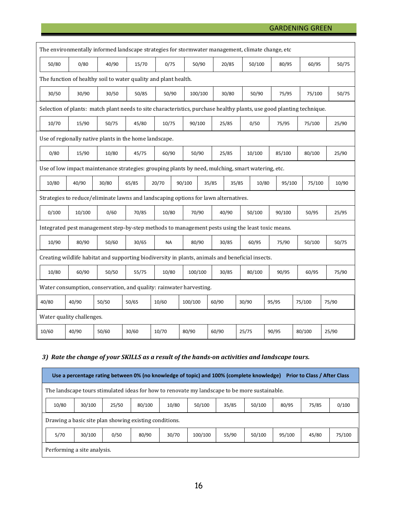### GARDENING GREEN

| The environmentally informed landscape strategies for stormwater management, climate change, etc |                                                                                                   |                                                               |       |                                                                                                                       |         |       |        |        |        |        |       |
|--------------------------------------------------------------------------------------------------|---------------------------------------------------------------------------------------------------|---------------------------------------------------------------|-------|-----------------------------------------------------------------------------------------------------------------------|---------|-------|--------|--------|--------|--------|-------|
| 50/80                                                                                            | 0/80                                                                                              | 40/90                                                         | 15/70 | 0/75                                                                                                                  | 50/90   | 20/85 |        | 50/100 | 80/95  | 60/95  | 50/75 |
|                                                                                                  | The function of healthy soil to water quality and plant health.                                   |                                                               |       |                                                                                                                       |         |       |        |        |        |        |       |
| 30/50                                                                                            | 30/90                                                                                             | 50/85<br>50/90<br>100/100<br>30/80<br>50/90<br>30/50<br>75/95 |       | 75/100                                                                                                                | 50/75   |       |        |        |        |        |       |
|                                                                                                  |                                                                                                   |                                                               |       | Selection of plants: match plant needs to site characteristics, purchase healthy plants, use good planting technique. |         |       |        |        |        |        |       |
| 10/70                                                                                            | 15/90                                                                                             | 50/75                                                         | 45/80 | 10/75                                                                                                                 | 90/100  | 25/85 | 0/50   |        | 75/95  | 75/100 | 25/90 |
|                                                                                                  |                                                                                                   | Use of regionally native plants in the home landscape.        |       |                                                                                                                       |         |       |        |        |        |        |       |
| 0/80                                                                                             | 15/90                                                                                             | 10/80                                                         | 45/75 | 60/90                                                                                                                 | 50/90   | 25/85 | 10/100 |        | 85/100 | 80/100 | 25/90 |
|                                                                                                  | Use of low impact maintenance strategies: grouping plants by need, mulching, smart watering, etc. |                                                               |       |                                                                                                                       |         |       |        |        |        |        |       |
| 10/80                                                                                            | 40/90                                                                                             | 30/80                                                         | 65/85 | 20/70                                                                                                                 | 90/100  | 35/85 | 35/85  | 10/80  | 95/100 | 75/100 | 10/90 |
|                                                                                                  |                                                                                                   |                                                               |       | Strategies to reduce/eliminate lawns and landscaping options for lawn alternatives.                                   |         |       |        |        |        |        |       |
| 0/100                                                                                            | 10/100                                                                                            | 0/60                                                          | 70/85 | 10/80                                                                                                                 | 70/90   | 40/90 | 50/100 |        | 90/100 | 50/95  | 25/95 |
|                                                                                                  | Integrated pest management step-by-step methods to management pests using the least toxic means.  |                                                               |       |                                                                                                                       |         |       |        |        |        |        |       |
| 10/90                                                                                            | 80/90                                                                                             | 50/60                                                         | 30/65 | <b>NA</b>                                                                                                             | 80/90   | 30/85 | 60/95  |        | 75/90  | 50/100 | 50/75 |
|                                                                                                  | Creating wildlife habitat and supporting biodiversity in plants, animals and beneficial insects.  |                                                               |       |                                                                                                                       |         |       |        |        |        |        |       |
| 10/80                                                                                            | 60/90                                                                                             | 50/50                                                         | 55/75 | 10/80                                                                                                                 | 100/100 | 30/85 | 80/100 |        | 90/95  | 60/95  | 75/90 |
|                                                                                                  | Water consumption, conservation, and quality: rainwater harvesting.                               |                                                               |       |                                                                                                                       |         |       |        |        |        |        |       |
| 40/80                                                                                            | 40/90                                                                                             | 50/50                                                         | 50/65 | 10/60                                                                                                                 | 100/100 | 60/90 | 30/90  |        | 95/95  | 75/100 | 75/90 |
|                                                                                                  | Water quality challenges.                                                                         |                                                               |       |                                                                                                                       |         |       |        |        |        |        |       |
| 10/60                                                                                            | 40/90                                                                                             | 50/60                                                         | 30/60 | 10/70                                                                                                                 | 80/90   | 60/90 | 25/75  |        | 90/95  | 80/100 | 25/90 |

# *3) Rate the change of your SKILLS as a result of the hands-on activities and landscape tours.*

|                                                                                               | Use a percentage rating between 0% (no knowledge of topic) and 100% (complete knowledge)<br><b>Prior to Class / After Class</b> |       |        |       |         |       |        |        |       |        |
|-----------------------------------------------------------------------------------------------|---------------------------------------------------------------------------------------------------------------------------------|-------|--------|-------|---------|-------|--------|--------|-------|--------|
| The landscape tours stimulated ideas for how to renovate my landscape to be more sustainable. |                                                                                                                                 |       |        |       |         |       |        |        |       |        |
| 10/80                                                                                         | 30/100                                                                                                                          | 25/50 | 80/100 | 10/80 | 50/100  | 35/85 | 50/100 | 80/95  | 75/85 | 0/100  |
|                                                                                               | Drawing a basic site plan showing existing conditions.                                                                          |       |        |       |         |       |        |        |       |        |
| 5/70                                                                                          | 30/100                                                                                                                          | 0/50  | 80/90  | 30/70 | 100/100 | 55/90 | 50/100 | 95/100 | 45/80 | 75/100 |
| Performing a site analysis.                                                                   |                                                                                                                                 |       |        |       |         |       |        |        |       |        |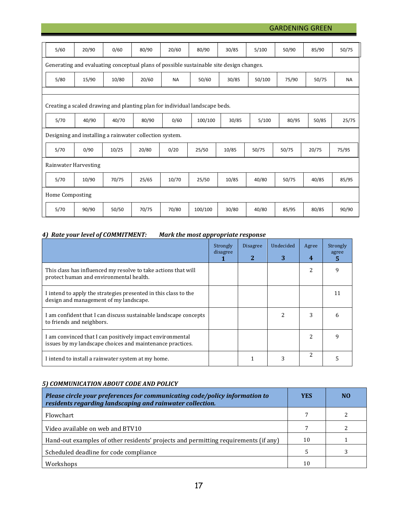GARDENING GREEN

| 5/60            | 20/90                                                                                   | 0/60  | 80/90 | 20/60     | 80/90   | 30/85 | 5/100  | 50/90          | 85/90 | 50/75     |
|-----------------|-----------------------------------------------------------------------------------------|-------|-------|-----------|---------|-------|--------|----------------|-------|-----------|
|                 | Generating and evaluating conceptual plans of possible sustainable site design changes. |       |       |           |         |       |        |                |       |           |
| 5/80            | 15/90                                                                                   | 10/80 | 20/60 | <b>NA</b> | 50/60   | 30/85 | 50/100 | 75/90          | 50/75 | <b>NA</b> |
|                 |                                                                                         |       |       |           |         |       |        |                |       |           |
|                 | Creating a scaled drawing and planting plan for individual landscape beds.              |       |       |           |         |       |        |                |       |           |
| 5/70            | 40/90                                                                                   | 40/70 | 80/90 | 0/60      | 100/100 | 30/85 | 5/100  | 80/95          | 50/85 | 25/75     |
|                 | Designing and installing a rainwater collection system.                                 |       |       |           |         |       |        |                |       |           |
| 5/70            | 0/90                                                                                    | 10/25 | 20/80 | 0/20      | 25/50   | 10/85 | 50/75  | 50/75<br>20/75 |       | 75/95     |
|                 | Rainwater Harvesting                                                                    |       |       |           |         |       |        |                |       |           |
|                 |                                                                                         |       |       |           |         |       |        |                |       |           |
| 5/70            | 10/90                                                                                   | 70/75 | 25/65 | 10/70     | 25/50   | 10/85 | 40/80  | 50/75          | 40/85 | 85/95     |
| Home Composting |                                                                                         |       |       |           |         |       |        |                |       |           |

# *4) Rate your level of COMMITMENT: Mark the most appropriate response*

|                                                                                                                        | Strongly<br>disagree | <b>Disagree</b><br>2 | Undecided<br>3 | Agree<br>4    | Strongly<br>agree<br>5 |
|------------------------------------------------------------------------------------------------------------------------|----------------------|----------------------|----------------|---------------|------------------------|
| This class has influenced my resolve to take actions that will<br>protect human and environmental health.              |                      |                      |                | $\mathcal{L}$ | 9                      |
| I intend to apply the strategies presented in this class to the<br>design and management of my landscape.              |                      |                      |                |               |                        |
| I am confident that I can discuss sustainable landscape concepts<br>to friends and neighbors.                          |                      |                      |                | 3             |                        |
| I am convinced that I can positively impact environmental<br>issues by my landscape choices and maintenance practices. |                      |                      |                |               | q                      |
| I intend to install a rainwater system at my home.                                                                     |                      |                      |                | $\mathcal{L}$ |                        |

# *5) COMMUNICATION ABOUT CODE AND POLICY*

| Please circle your preferences for communicating code/policy information to<br>residents regarding landscaping and rainwater collection. | <b>YES</b> | N <sub>0</sub> |
|------------------------------------------------------------------------------------------------------------------------------------------|------------|----------------|
| Flowchart                                                                                                                                | 7          |                |
| Video available on web and BTV10                                                                                                         |            |                |
| Hand-out examples of other residents' projects and permitting requirements (if any)                                                      | 10         |                |
| Scheduled deadline for code compliance                                                                                                   | 5          |                |
| Workshops                                                                                                                                | 10         |                |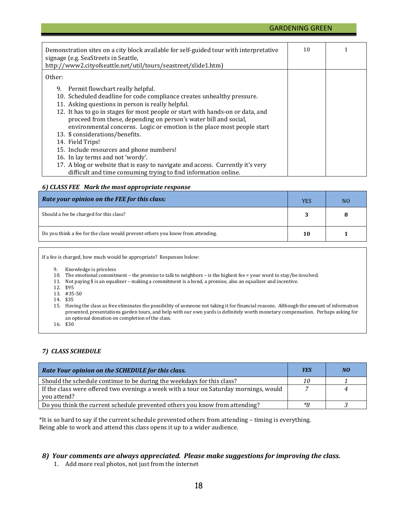#### GARDENING GREEN

| Demonstration sites on a city block available for self-guided tour with interpretative<br>signage (e.g. SeaStreets in Seattle,<br>http://www2.cityofseattle.net/util/tours/seastreet/slide1.htm)                              | 10 |  |
|-------------------------------------------------------------------------------------------------------------------------------------------------------------------------------------------------------------------------------|----|--|
| Other:                                                                                                                                                                                                                        |    |  |
| 9. Permit flowchart really helpful.<br>10. Scheduled deadline for code compliance creates unhealthy pressure.                                                                                                                 |    |  |
| 11. Asking questions in person is really helpful.                                                                                                                                                                             |    |  |
| 12. It has to go in stages for most people or start with hands-on or data, and<br>proceed from these, depending on person's water bill and social,<br>environmental concerns. Logic or emotion is the place most people start |    |  |
| 13. \$ considerations/benefits.                                                                                                                                                                                               |    |  |
| 14. Field Trips!                                                                                                                                                                                                              |    |  |
| 15. Include resources and phone numbers!                                                                                                                                                                                      |    |  |
| 16. In lay terms and not 'wordy'.                                                                                                                                                                                             |    |  |
| 17. A blog or website that is easy to navigate and access. Currently it's very                                                                                                                                                |    |  |
| difficult and time consuming trying to find information online.                                                                                                                                                               |    |  |

#### *6) CLASS FEE Mark the most appropriate response*

| Rate your opinion on the FEE for this class:                                   | <b>YES</b> | N <sub>O</sub> |
|--------------------------------------------------------------------------------|------------|----------------|
| Should a fee be charged for this class?                                        |            |                |
| Do you think a fee for the class would prevent others you know from attending. | 10         |                |

If a fee is charged, how much would be appropriate? Responses below:

9. Knowledge is priceless

- 10. The emotional commitment the promise to talk to neighbors is the highest fee = your word to stay/be involved.
- 11. Not paying \$ is an equalizer making a commitment is a bond, a promise, also an equalizer and incentive.
- 12. \$95
- 13. #35-50
- 14. \$35
- 15. Having the class as free eliminates the possibility of someone not taking it for financial reasons. Although the amount of information presented, presentations garden tours, and help with our own yards is definitely worth monetary compensation. Perhaps asking for an optional donation on completion of the class.

16. \$30

#### *7) CLASS SCHEDULE*

| Rate Your opinion on the SCHEDULE for this class.                                                    | <b>YES</b> | NO |
|------------------------------------------------------------------------------------------------------|------------|----|
| Should the schedule continue to be during the weekdays for this class?                               | 10         |    |
| If the class were offered two evenings a week with a tour on Saturday mornings, would<br>you attend? |            | 4  |
| Do you think the current schedule prevented others you know from attending?                          | *Я         |    |

\*It is so hard to say if the current schedule prevented others from attending – timing is everything. Being able to work and attend this class opens it up to a wider audience.

#### *8) Your comments are always appreciated. Please make suggestions for improving the class.*

1. Add more real photos, not just from the internet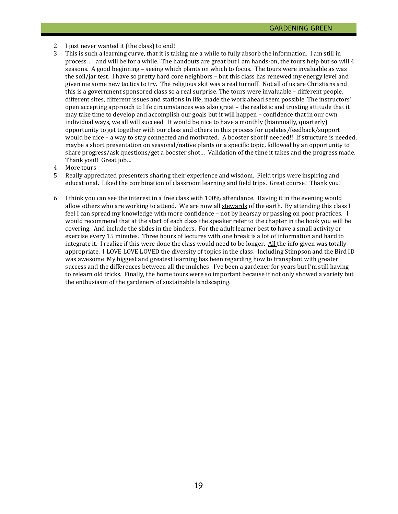- 2. I just never wanted it (the class) to end!
- 3. This is such a learning curve, that it is taking me a while to fully absorb the information. I am still in process… and will be for a while. The handouts are great but I am hands-on, the tours help but so will 4 seasons. A good beginning – seeing which plants on which to focus. The tours were invaluable as was the soil/jar test. I have so pretty hard core neighbors – but this class has renewed my energy level and given me some new tactics to try. The religious skit was a real turnoff. Not all of us are Christians and this is a government sponsored class so a real surprise. The tours were invaluable – different people, different sites, different issues and stations in life, made the work ahead seem possible. The instructors' open accepting approach to life circumstances was also great – the realistic and trusting attitude that it may take time to develop and accomplish our goals but it will happen – confidence that in our own individual ways, we all will succeed. It would be nice to have a monthly (biannually, quarterly) opportunity to get together with our class and others in this process for updates/feedback/support would be nice – a way to stay connected and motivated. A booster shot if needed!! If structure is needed, maybe a short presentation on seasonal/native plants or a specific topic, followed by an opportunity to share progress/ask questions/get a booster shot… Validation of the time it takes and the progress made. Thank you!! Great job…
- 4. More tours<br>5. Really appr
- 5. Really appreciated presenters sharing their experience and wisdom. Field trips were inspiring and educational. Liked the combination of classroom learning and field trips. Great course! Thank you!
- 6. I think you can see the interest in a free class with 100% attendance. Having it in the evening would allow others who are working to attend. We are now all stewards of the earth. By attending this class I feel I can spread my knowledge with more confidence – not by hearsay or passing on poor practices. I would recommend that at the start of each class the speaker refer to the chapter in the book you will be covering. And include the slides in the binders. For the adult learner best to have a small activity or exercise every 15 minutes. Three hours of lectures with one break is a lot of information and hard to integrate it. I realize if this were done the class would need to be longer. All the info given was totally appropriate. I LOVE LOVE LOVED the diversity of topics in the class. Including Stimpson and the Bird ID was awesome My biggest and greatest learning has been regarding how to transplant with greater success and the differences between all the mulches. I've been a gardener for years but I'm still having to relearn old tricks. Finally, the home tours were so important because it not only showed a variety but the enthusiasm of the gardeners of sustainable landscaping.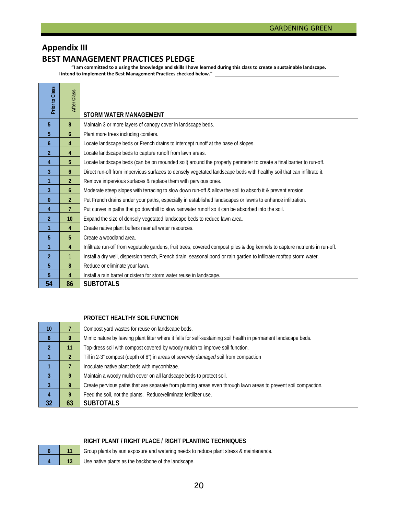# **Appendix III BEST MANAGEMENT PRACTICES PLEDGE**

**"I am committed to a using the knowledge and skills I have learned during this class to create a sustainable landscape. I intend to implement the Best Management Practices checked below."** 

| Prior to Class | After Class    |                                                                                                                              |
|----------------|----------------|------------------------------------------------------------------------------------------------------------------------------|
|                |                | STORM WATER MANAGEMENT                                                                                                       |
| 5              | 8              | Maintain 3 or more layers of canopy cover in landscape beds.                                                                 |
| 5              | 6              | Plant more trees including conifers.                                                                                         |
| 6              | 4              | Locate landscape beds or French drains to intercept runoff at the base of slopes.                                            |
| $\overline{2}$ | 4              | Locate landscape beds to capture runoff from lawn areas.                                                                     |
| 4              | 5              | Locate landscape beds (can be on mounded soil) around the property perimeter to create a final barrier to run-off.           |
| 3              | 6              | Direct run-off from impervious surfaces to densely vegetated landscape beds with healthy soil that can infiltrate it.        |
| 1              | $\overline{2}$ | Remove impervious surfaces & replace them with pervious ones.                                                                |
| 3              | 6              | Moderate steep slopes with terracing to slow down run-off & allow the soil to absorb it & prevent erosion.                   |
| $\bf{0}$       | $\overline{2}$ | Put French drains under your paths, especially in established landscapes or lawns to enhance infiltration.                   |
| 4              | 7              | Put curves in paths that go downhill to slow rainwater runoff so it can be absorbed into the soil.                           |
| $\overline{2}$ | 10             | Expand the size of densely vegetated landscape beds to reduce lawn area.                                                     |
| 1              | 4              | Create native plant buffers near all water resources.                                                                        |
| 5              | 5              | Create a woodland area.                                                                                                      |
| 1              | 4              | Infiltrate run-off from vegetable gardens, fruit trees, covered compost piles & dog kennels to capture nutrients in run-off. |
| $\overline{2}$ | $\mathbf{1}$   | Install a dry well, dispersion trench, French drain, seasonal pond or rain garden to infiltrate rooftop storm water.         |
| 5              | 8              | Reduce or eliminate your lawn.                                                                                               |
| 5              | 4              | Install a rain barrel or cistern for storm water reuse in landscape.                                                         |
| 54             | 86             | <b>SUBTOTALS</b>                                                                                                             |

#### **PROTECT HEALTHY SOIL FUNCTION**

| 10             |    | Compost yard wastes for reuse on landscape beds.                                                                 |
|----------------|----|------------------------------------------------------------------------------------------------------------------|
| 8              |    | Mimic nature by leaving plant litter where it falls for self-sustaining soil health in permanent landscape beds. |
| $\overline{2}$ | 11 | Top-dress soil with compost covered by woody mulch to improve soil function.                                     |
|                |    | Till in 2-3" compost (depth of 8") in areas of severely damaged soil from compaction                             |
|                |    | Inoculate native plant beds with mycorrhizae.                                                                    |
| 3              |    | Maintain a woody mulch cover on all landscape beds to protect soil.                                              |
| 3              | 9  | Create pervious paths that are separate from planting areas even through lawn areas to prevent soil compaction.  |
| 4              | 9  | Feed the soil, not the plants. Reduce/eliminate fertilizer use.                                                  |
| 32             | 63 | <b>SUBTOTALS</b>                                                                                                 |

#### **RIGHT PLANT / RIGHT PLACE / RIGHT PLANTING TECHNIQUES**

| ι<br>٠ |   |
|--------|---|
|        | G |

Group plants by sun exposure and watering needs to reduce plant stress & maintenance.

**13** Use native plants as the backbone of the landscape.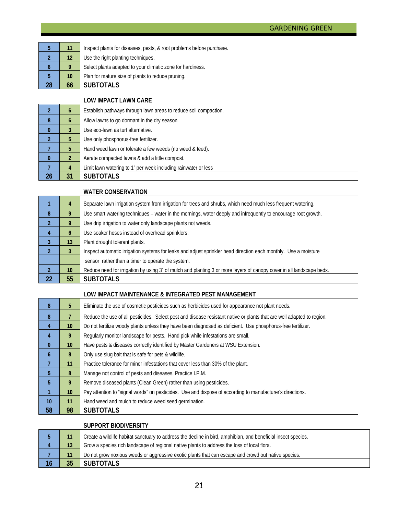|    |    | Inspect plants for diseases, pests, & root problems before purchase. |
|----|----|----------------------------------------------------------------------|
|    |    | Use the right planting techniques.                                   |
|    |    | Select plants adapted to your climatic zone for hardiness.           |
|    | 10 | Plan for mature size of plants to reduce pruning.                    |
| 28 | 66 | <b>SUBTOTALS</b>                                                     |

**LOW IMPACT LAWN CARE**

|          | $\mathfrak b$ | Establish pathways through lawn areas to reduce soil compaction. |
|----------|---------------|------------------------------------------------------------------|
| 8        | b             | Allow lawns to go dormant in the dry season.                     |
| $\bf{0}$ |               | Use eco-lawn as turf alternative.                                |
|          |               | Use only phosphorus-free fertilizer.                             |
|          | Ð             | Hand weed lawn or tolerate a few weeds (no weed & feed).         |
| $\bf{0}$ |               | Aerate compacted lawns & add a little compost.                   |
|          | 4             | Limit lawn watering to 1" per week including rainwater or less   |
| 26       | 31            | <b>SUBTOTALS</b>                                                 |

#### **WATER CONSERVATION**

|                | 4               | Separate lawn irrigation system from irrigation for trees and shrubs, which need much less frequent watering.        |
|----------------|-----------------|----------------------------------------------------------------------------------------------------------------------|
| 8              | 9               | Use smart watering techniques – water in the mornings, water deeply and infrequently to encourage root growth.       |
| $\mathfrak{p}$ | 9               | Use drip irrigation to water only landscape plants not weeds.                                                        |
| 4              | 6               | Use soaker hoses instead of overhead sprinklers.                                                                     |
| 3              | 13              | Plant drought tolerant plants.                                                                                       |
| າ              | 3               | Inspect automatic irrigation systems for leaks and adjust sprinkler head direction each monthly. Use a moisture      |
|                |                 | sensor rather than a timer to operate the system.                                                                    |
| $\overline{2}$ | 10 <sup>°</sup> | Reduce need for irrigation by using 3" of mulch and planting 3 or more layers of canopy cover in all landscape beds. |
| 22             | 55              | <b>SUBTOTALS</b>                                                                                                     |

# **LOW IMPACT MAINTENANCE & INTEGRATED PEST MANAGEMENT**

| 8               | 5 <sup>5</sup>  | Eliminate the use of cosmetic pesticides such as herbicides used for appearance not plant needs.                      |  |  |
|-----------------|-----------------|-----------------------------------------------------------------------------------------------------------------------|--|--|
| 8               |                 | Reduce the use of all pesticides. Select pest and disease resistant native or plants that are well adapted to region. |  |  |
| 4               | 10 <sup>°</sup> | Do not fertilize woody plants unless they have been diagnosed as deficient. Use phosphorus-free fertilizer.           |  |  |
| 4               | 9               | Regularly monitor landscape for pests. Hand pick while infestations are small.                                        |  |  |
| $\bf{0}$        | 10 <sup>°</sup> | Have pests & diseases correctly identified by Master Gardeners at WSU Extension.                                      |  |  |
| 6               | 8               | Only use slug bait that is safe for pets & wildlife.                                                                  |  |  |
|                 | 11              | Practice tolerance for minor infestations that cover less than 30% of the plant.                                      |  |  |
| 5               | 8               | Manage not control of pests and diseases. Practice I.P.M.                                                             |  |  |
| 5               | 9               | Remove diseased plants (Clean Green) rather than using pesticides.                                                    |  |  |
|                 | 10 <sup>°</sup> | Pay attention to "signal words" on pesticides. Use and dispose of according to manufacturer's directions.             |  |  |
| 10 <sup>°</sup> | 11              | Hand weed and mulch to reduce weed seed germination.                                                                  |  |  |
| 58              | 98              | <b>SUBTOTALS</b>                                                                                                      |  |  |

#### **SUPPORT BIODIVERSITY**

|    |    | Create a wildlife habitat sanctuary to address the decline in bird, amphibian, and beneficial insect species. |  |
|----|----|---------------------------------------------------------------------------------------------------------------|--|
|    |    | Grow a species rich landscape of regional native plants to address the loss of local flora.                   |  |
|    |    | Do not grow noxious weeds or aggressive exotic plants that can escape and crowd out native species.           |  |
| 16 | 35 | <b>SUBTOTALS</b>                                                                                              |  |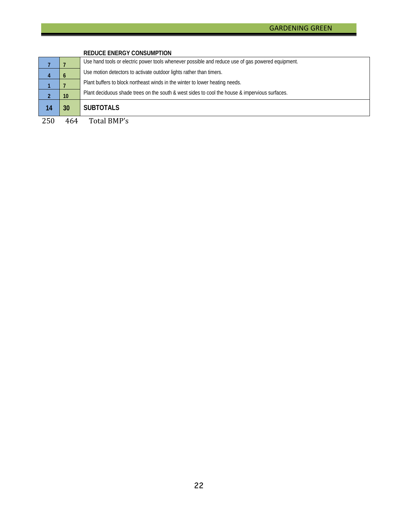|     |     | <b>REDUCE ENERGY CONSUMPTION</b>                                                                  |  |
|-----|-----|---------------------------------------------------------------------------------------------------|--|
|     |     | Use hand tools or electric power tools whenever possible and reduce use of gas powered equipment. |  |
|     |     | Use motion detectors to activate outdoor lights rather than timers.                               |  |
|     |     | Plant buffers to block northeast winds in the winter to lower heating needs.                      |  |
|     | 10  | Plant deciduous shade trees on the south & west sides to cool the house & impervious surfaces.    |  |
| 14  | 30  | <b>SUBTOTALS</b>                                                                                  |  |
| 250 | 464 | Total BMP's                                                                                       |  |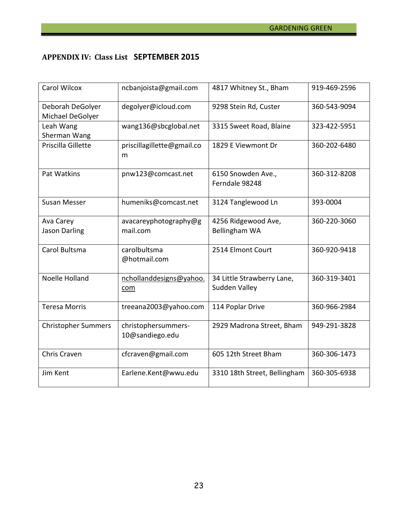# **APPENDIX IV: Class List SEPTEMBER 2015**

| <b>Carol Wilcox</b>                  | ncbanjoista@gmail.com                  | 4817 Whitney St., Bham                      | 919-469-2596 |
|--------------------------------------|----------------------------------------|---------------------------------------------|--------------|
| Deborah DeGolyer<br>Michael DeGolyer | degolyer@icloud.com                    | 9298 Stein Rd, Custer                       | 360-543-9094 |
| Leah Wang<br>Sherman Wang            | wang136@sbcglobal.net                  | 3315 Sweet Road, Blaine                     | 323-422-5951 |
| Priscilla Gillette                   | priscillagillette@gmail.co<br>m        | 1829 E Viewmont Dr                          | 360-202-6480 |
| Pat Watkins                          | pnw123@comcast.net                     | 6150 Snowden Ave.,<br>Ferndale 98248        | 360-312-8208 |
| <b>Susan Messer</b>                  | humeniks@comcast.net                   | 3124 Tanglewood Ln                          | 393-0004     |
| Ava Carey<br><b>Jason Darling</b>    | avacareyphotography@g<br>mail.com      | 4256 Ridgewood Ave,<br>Bellingham WA        | 360-220-3060 |
| Carol Bultsma                        | carolbultsma<br>@hotmail.com           | 2514 Elmont Court                           | 360-920-9418 |
| Noelle Holland                       | nchollanddesigns@yahoo.<br>com         | 34 Little Strawberry Lane,<br>Sudden Valley | 360-319-3401 |
| <b>Teresa Morris</b>                 | treeana2003@yahoo.com                  | 114 Poplar Drive                            | 360-966-2984 |
| <b>Christopher Summers</b>           | christophersummers-<br>10@sandiego.edu | 2929 Madrona Street, Bham                   | 949-291-3828 |
| Chris Craven                         | cfcraven@gmail.com                     | 605 12th Street Bham                        | 360-306-1473 |
| Jim Kent                             | Earlene.Kent@wwu.edu                   | 3310 18th Street, Bellingham                | 360-305-6938 |